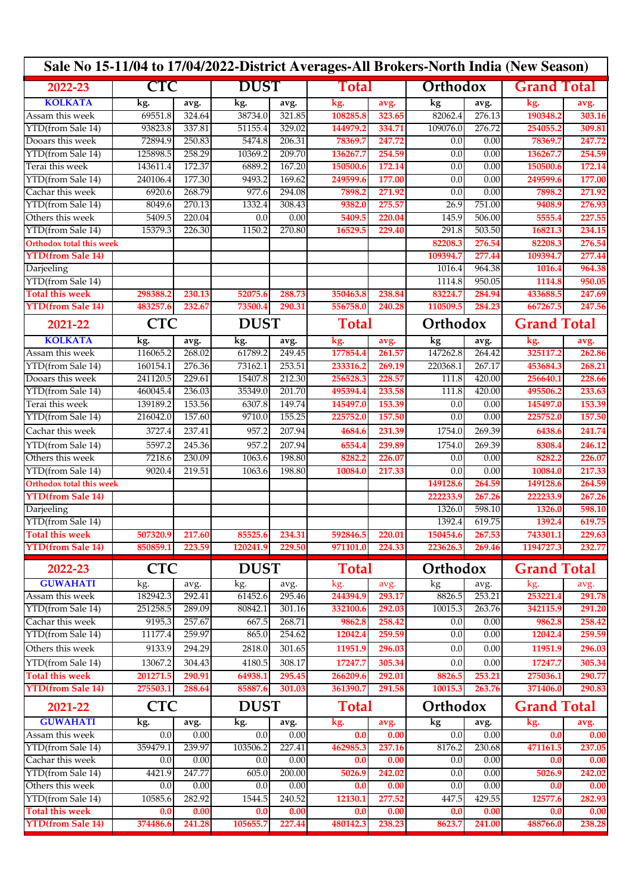| Sale No 15-11/04 to 17/04/2022-District Averages-All Brokers-North India (New Season) |            |            |             |             |              |               |                          |                  |                    |                    |  |
|---------------------------------------------------------------------------------------|------------|------------|-------------|-------------|--------------|---------------|--------------------------|------------------|--------------------|--------------------|--|
| 2022-23                                                                               | <b>CTC</b> |            | <b>DUST</b> |             | Total        |               | Orthodox                 |                  | <b>Grand Total</b> |                    |  |
| <b>KOLKATA</b>                                                                        | kg.        | avg.       | kg.         | avg.        | kg.          | avg.          | $\overline{\mathbf{kg}}$ | avg.             | kg.                | avg.               |  |
| Assam this week                                                                       | 69551.8    | 324.64     | 38734.0     | 321.85      | 108285.8     | 323.65        | 82062.4                  | 276.13           | 190348.2           | 303.16             |  |
| YTD(from Sale 14)                                                                     | 93823.8    | 337.81     | 51155.4     | 329.02      | 144979.2     | 334.71        | 109076.0                 | 276.72           | 254055.2           | 309.81             |  |
| Dooars this week                                                                      | 72894.9    | 250.83     | 5474.8      | 206.31      | 78369.7      | 247.72        | 0.0                      | 0.00             | 78369.7            | 247.72             |  |
| YTD(from Sale 14)                                                                     | 125898.5   | 258.29     | 10369.2     | 209.70      | 136267.7     | 254.59        | 0.0                      | 0.00             | 136267.7           | 254.59             |  |
| Terai this week                                                                       | 143611.4   | 172.37     | 6889.2      | 167.20      | 150500.6     | 172.14        | 0.0                      | 0.00             | 150500.6           | 172.14             |  |
| YTD(from Sale 14)                                                                     | 240106.4   | 177.30     | 9493.2      | 169.62      | 249599.6     | 177.00        | 0.0                      | 0.00             | 249599.6           | 177.00             |  |
| Cachar this week                                                                      | 6920.6     | 268.79     | 977.6       | 294.08      | 7898.2       | 271.92        | 0.0                      | 0.00             | 7898.2             | 271.92             |  |
| YTD(from Sale 14)                                                                     | 8049.6     | 270.13     | 1332.4      | 308.43      | 9382.0       | 275.57        | 26.9                     | 751.00           | 9408.9             | 276.93             |  |
| Others this week                                                                      | 5409.5     | 220.04     | 0.0         | 0.00        | 5409.5       | 220.04        | 145.9                    | 506.00           | 5555.4             | 227.55             |  |
| YTD(from Sale 14)                                                                     | 15379.3    | 226.30     | 1150.2      | 270.80      | 16529.5      | 229.40        | 291.8                    | 503.50           | 16821.3            | 234.15             |  |
| <b>Orthodox total this week</b>                                                       |            |            |             |             |              |               | 82208.3                  | 276.54           | 82208.3            | 276.54             |  |
| <b>YTD(from Sale 14)</b>                                                              |            |            |             |             |              |               | 109394.7                 | 277.44           | 109394.7           | 277.44             |  |
| Darjeeling                                                                            |            |            |             |             |              |               | 1016.4                   | 964.38           | 1016.4             | 964.38             |  |
| YTD(from Sale 14)<br><b>Total this week</b>                                           |            |            |             |             |              |               | 1114.8                   | 950.05<br>284.94 | 1114.8             | 950.05             |  |
|                                                                                       | 298388.2   | 230.13     | 52075.6     | 288.73      | 350463.8     | 238.84        | 83224.7<br>110509.5      |                  | 433688.5           | 247.69             |  |
| <b>YTD(from Sale 14)</b>                                                              | 483257.6   | 232.67     | 73500.4     | 290.31      | 556758.0     | 240.28        |                          | 284.23           | 667267.5           | 247.56             |  |
| 2021-22                                                                               | <b>CTC</b> |            | <b>DUST</b> |             | <b>Total</b> |               | Orthodox                 |                  | <b>Grand Total</b> |                    |  |
| <b>KOLKATA</b>                                                                        | kg.        | avg.       | kg.         | avg.        | kg.          | avg.          | kg                       | avg.             | kg.                | avg.               |  |
| Assam this week                                                                       | 116065.2   | 268.02     | 61789.2     | 249.45      | 177854.4     | 261.57        | 147262.8                 | 264.42           | 325117.2           | 262.86             |  |
| YTD(from Sale 14)                                                                     | 160154.1   | 276.36     | 73162.1     | 253.51      | 233316.2     | 269.19        | 220368.1                 | 267.17           | 453684.3           | 268.21             |  |
| Dooars this week                                                                      | 241120.5   | 229.61     | 15407.8     | 212.30      | 256528.3     | 228.57        | 111.8                    | 420.00           | 256640.1           | 228.66             |  |
| YTD(from Sale 14)                                                                     | 460045.4   | 236.03     | 35349.0     | 201.70      | 495394.4     | 233.58        | 111.8                    | 420.00           | 495506.2           | 233.63             |  |
| Terai this week                                                                       | 139189.2   | 153.56     | 6307.8      | 149.74      | 145497.0     | 153.39        | 0.0                      | 0.00             | 145497.0           | 153.39             |  |
| YTD(from Sale 14)                                                                     | 216042.0   | 157.60     | 9710.0      | 155.25      | 225752.0     | 157.50        | 0.0                      | 0.00             | 225752.0           | 157.50             |  |
| Cachar this week                                                                      | 3727.4     | 237.41     | 957.2       | 207.94      | 4684.6       | 231.39        | 1754.0                   | 269.39           | 6438.6             | 241.74             |  |
| YTD(from Sale 14)                                                                     | 5597.2     | 245.36     | 957.2       | 207.94      | 6554.4       | 239.89        | 1754.0                   | 269.39           | 8308.4             | 246.12             |  |
| Others this week                                                                      | 7218.6     | 230.09     | 1063.6      | 198.80      | 8282.2       | 226.07        | 0.0                      | 0.00             | 8282.2             | 226.07             |  |
| YTD(from Sale 14)                                                                     | 9020.4     | 219.51     | 1063.6      | 198.80      | 10084.0      | 217.33        | 0.0                      | 0.00             | 10084.0            | 217.33             |  |
| <b>Orthodox total this week</b>                                                       |            |            |             |             |              |               | 149128.6                 | 264.59           | 149128.6           | 264.59             |  |
| <b>YTD(from Sale 14)</b>                                                              |            |            |             |             |              |               | 222233.9                 | 267.26           | 222233.9           | 267.26             |  |
| Darjeeling                                                                            |            |            |             |             |              |               | 1326.0                   | 598.10           | 1326.0             | 598.10             |  |
| YTD(from Sale 14)                                                                     |            |            |             |             |              |               | 1392.4                   | 619.75           | 1392.4             | 619.75             |  |
| <b>Total this week</b>                                                                | 507320.9   | 217.60     | 85525.6     | 234.31      | 592846.5     | <b>220.01</b> | 150454.6                 | 267.53           | 743301.1           | 229.63             |  |
| <b>YTD(from Sale 14)</b>                                                              | 850859.1   | 223.59     | 120241.9    | 229.50      | 971101.0     | 224.33        | 223626.3                 | 269.46           | 1194727.3          | 232.77             |  |
| 2022-23                                                                               | <b>CTC</b> |            | <b>DUST</b> |             | <b>Total</b> |               | Orthodox                 |                  | <b>Grand Total</b> |                    |  |
| <b>GUWAHATI</b>                                                                       | kg.        | avg.       | kg.         | avg.        | kg.          | avg.          | kg                       | avg.             | kg.                | avg.               |  |
| Assam this week                                                                       | 182942.3   | 292.41     | 61452.6     | 295.46      | 244394.9     | 293.17        | 8826.5                   | 253.21           | 253221.4           | 291.78             |  |
| YTD(from Sale 14)                                                                     | 251258.5   | 289.09     | 80842.1     | 301.16      | 332100.6     | 292.03        | 10015.3                  | 263.76           | 342115.9           | 291.20             |  |
| Cachar this week                                                                      | 9195.3     | 257.67     | 667.5       | 268.71      | 9862.8       | 258.42        | 0.0                      | 0.00             | 9862.8             | 258.42             |  |
| YTD(from Sale 14)                                                                     | 11177.4    | 259.97     | 865.0       | 254.62      | 12042.4      | 259.59        | 0.0                      | 0.00             | 12042.4            | 259.59             |  |
| Others this week                                                                      | 9133.9     | 294.29     | 2818.0      | 301.65      | 11951.9      | 296.03        | 0.0                      | 0.00             | 11951.9            | 296.03             |  |
| YTD(from Sale 14)                                                                     | 13067.2    | 304.43     | 4180.5      | 308.17      | 17247.7      | 305.34        | 0.0                      | 0.00             | 17247.7            | 305.34             |  |
| <b>Total this week</b>                                                                | 201271.5   | 290.91     | 64938.1     | 295.45      | 266209.6     | 292.01        | 8826.5                   | 253.21           | 275036.1           | 290.77             |  |
| <b>YTD(from Sale 14)</b>                                                              | 275503.1   | 288.64     | 85887.6     | 301.03      | 361390.7     | 291.58        | 10015.3                  | 263.76           | 371406.0           | 290.83             |  |
| 2021-22                                                                               |            | <b>CTC</b> |             | <b>DUST</b> |              | <b>Total</b>  |                          | Orthodox         |                    | <b>Grand Total</b> |  |
| <b>GUWAHATI</b>                                                                       | kg.        | avg.       | kg.         | avg.        | kg.          | avg.          | $\mathbf{kg}$            | avg.             | kg.                | avg.               |  |
| Assam this week                                                                       | 0.0        | 0.00       | 0.0         | 0.00        | 0.0          | 0.00          | $\overline{0.0}$         | 0.00             | $\overline{0.0}$   | 0.00               |  |
| YTD(from Sale 14)                                                                     | 359479.1   | 239.97     | 103506.2    | 227.41      | 462985.3     | 237.16        | 8176.2                   | 230.68           | 471161.5           | 237.05             |  |
| Cachar this week                                                                      | 0.0        | 0.00       | 0.0         | 0.00        | 0.0          | 0.00          | 0.0                      | 0.00             | 0.0                | 0.00               |  |
| YTD(from Sale 14)                                                                     | 4421.9     | 247.77     | 605.0       | 200.00      | 5026.9       | 242.02        | 0.0                      | 0.00             | 5026.9             | 242.02             |  |
| Others this week                                                                      | 0.0        | 0.00       | 0.0         | 0.00        | 0.0          | 0.00          | 0.0                      | 0.00             | 0.0                | 0.00               |  |
| YTD(from Sale 14)                                                                     | 10585.6    | 282.92     | 1544.5      | 240.52      | 12130.1      | 277.52        | 447.5                    | 429.55           | 12577.6            | 282.93             |  |
| <b>Total this week</b>                                                                | 0.0        | 0.00       | 0.0         | 0.00        | 0.0          | 0.00          | 0.0                      | 0.00             | 0.0                | 0.00               |  |
| <b>YTD(from Sale 14)</b>                                                              | 374486.6   | 241.28     | 105655.7    | 227.44      | 480142.3     | 238.23        | 8623.7                   | 241.00           | 488766.0           | 238.28             |  |